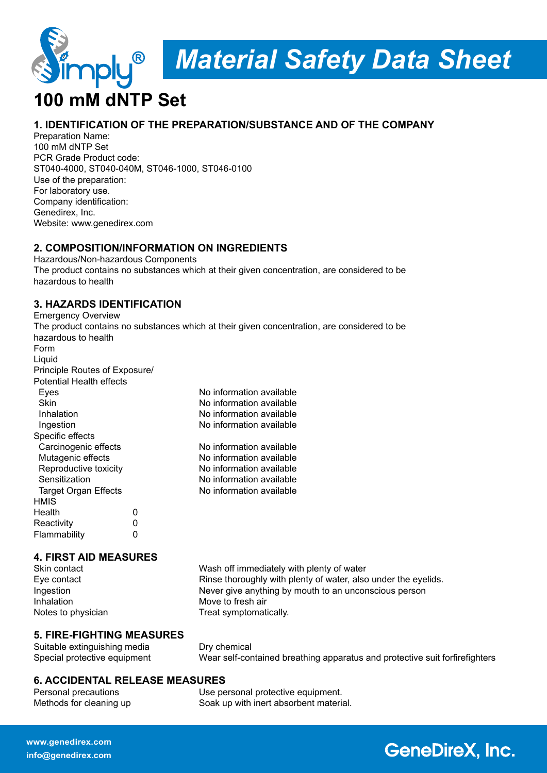

# **100 mM dNTP Set**

## **1. IDENTIFICATION OF THE PREPARATION/SUBSTANCE AND OF THE COMPANY**

Preparation Name: 100 mM dNTP Set PCR Grade Product code: ST040-4000, ST040-040M, ST046-1000, ST046-0100 Use of the preparation: For laboratory use. Company identification: Genedirex, Inc. Website: www.genedirex.com

### **2. COMPOSITION/INFORMATION ON INGREDIENTS**

Hazardous/Non-hazardous Components The product contains no substances which at their given concentration, are considered to be hazardous to health

## **3. HAZARDS IDENTIFICATION**

Emergency Overview

|                                 |   | The product contains no substances which at their given concentration, are considered to be |
|---------------------------------|---|---------------------------------------------------------------------------------------------|
| hazardous to health             |   |                                                                                             |
| Form                            |   |                                                                                             |
| Liquid                          |   |                                                                                             |
| Principle Routes of Exposure/   |   |                                                                                             |
| <b>Potential Health effects</b> |   |                                                                                             |
| Eyes                            |   | No information available                                                                    |
| <b>Skin</b>                     |   | No information available                                                                    |
| Inhalation                      |   | No information available                                                                    |
| Ingestion                       |   | No information available                                                                    |
| Specific effects                |   |                                                                                             |
| Carcinogenic effects            |   | No information available                                                                    |
| Mutagenic effects               |   | No information available                                                                    |
| Reproductive toxicity           |   | No information available                                                                    |
| Sensitization                   |   | No information available                                                                    |
| Target Organ Effects            |   | No information available                                                                    |
| <b>HMIS</b>                     |   |                                                                                             |
| Health                          | 0 |                                                                                             |
| Reactivity                      | 0 |                                                                                             |
| Flammability                    | 0 |                                                                                             |

### **4. FIRST AID MEASURES**

Inhalation Move to fresh air

Skin contact Wash off immediately with plenty of water Eye contact **Rinse thoroughly with plenty of water, also under the eyelids.** Ingestion Never give anything by mouth to an unconscious person Notes to physician Treat symptomatically.

### **5. FIRE-FIGHTING MEASURES**

Suitable extinguishing media Dry chemical

Special protective equipment Wear self-contained breathing apparatus and protective suit forfirefighters

# **6. ACCIDENTAL RELEASE MEASURES**

Personal precautions Use personal protective equipment. Methods for cleaning up Soak up with inert absorbent material.

# **GeneDireX, Inc.**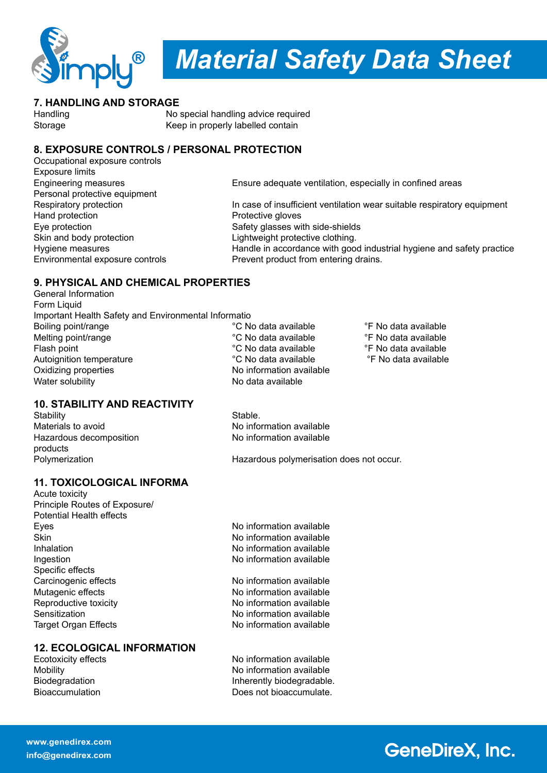

# *Material Safety Data Sheet*

# **7. HANDLING AND STORAGE**<br>Handling No

No special handling advice required Storage Keep in properly labelled contain

# **8. EXPOSURE CONTROLS / PERSONAL PROTECTION**

Occupational exposure controls Exposure limits Personal protective equipment Hand protection Skin and body protection **Lightweight protective clothing** Environmental exposure controls **Prevent** product from entering drains.

Engineering measures Ensure adequate ventilation, especially in confined areas Respiratory protection In case of insufficient ventilation wear suitable respiratory equipment<br>
Hand protection Protective gloves Eye protection Safety glasses with side-shields Hygiene measures **Handle in accordance with good industrial hygiene and safety practice** 

# **9. PHYSICAL AND CHEMICAL PROPERTIES**

General Information **Form Liquid** Important Health Safety and Environmental Informatio Boiling point/range The C No data available <sup>or</sup> C No data available <sup>or</sup> F No data available Melting point/range  $\begin{array}{cc}\n\text{N}\n\text{C}\n\end{array}$  No data available  $\begin{array}{cc}\n\text{C}\n\text{N}\n\text{C}\n\end{array}$  Mo data available  $\begin{array}{cc}\n\text{C}\n\text{N}\n\text{C}\n\end{array}$  and a vailable  $\begin{array}{cc}\n\text{C}\n\text{N}\n\text{C}\n\end{array}$ Flash point **Flash point** <sup>°</sup>C No data available <sup>•</sup>F No data available <sup>•</sup>F No data available <sup>•</sup>F No data available <sup>•</sup>F No data available Autoignition temperature Oxidizing properties No information available Water solubility No data available

# **10. STABILITY AND REACTIVITY**

Stability Stable.<br>
Materials to avoid Materials to avoid Hazardous decomposition products

No information available<br>No information available

Polymerization Hazardous polymerisation does not occur.

# **11. TOXICOLOGICAL INFORMA**

Acute toxicity Principle Routes of Exposure/ Potential Health effects Eyes Eyes **No information available**<br>
Skin Mo information available Inhalation **Inhalation** available in the No information available Ingestion **Internation** No information available Specific effects Carcinogenic effects No information available Mutagenic effects Noinformation available Reproductive toxicity No information available Sensitization **No information available** Target Organ Effects **No information available** 

# **12. ECOLOGICAL INFORMATION**

No information available

No information available Mobility No information available Biodegradation **Inherently biodegradable.**<br>Bioaccumulation **Information** Does not bioaccumulate. Does not bioaccumulate.

# **GeneDireX, Inc.**